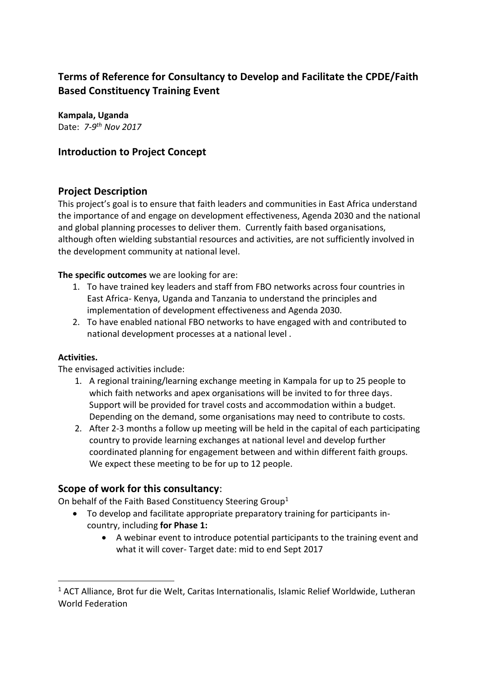# **Terms of Reference for Consultancy to Develop and Facilitate the CPDE/Faith Based Constituency Training Event**

# **Kampala, Uganda**

Date: *7-9 th Nov 2017*

# **Introduction to Project Concept**

# **Project Description**

This project's goal is to ensure that faith leaders and communities in East Africa understand the importance of and engage on development effectiveness, Agenda 2030 and the national and global planning processes to deliver them. Currently faith based organisations, although often wielding substantial resources and activities, are not sufficiently involved in the development community at national level.

**The specific outcomes** we are looking for are:

- 1. To have trained key leaders and staff from FBO networks across four countries in East Africa- Kenya, Uganda and Tanzania to understand the principles and implementation of development effectiveness and Agenda 2030.
- 2. To have enabled national FBO networks to have engaged with and contributed to national development processes at a national level .

### **Activities.**

 $\overline{a}$ 

The envisaged activities include:

- 1. A regional training/learning exchange meeting in Kampala for up to 25 people to which faith networks and apex organisations will be invited to for three days. Support will be provided for travel costs and accommodation within a budget. Depending on the demand, some organisations may need to contribute to costs.
- 2. After 2-3 months a follow up meeting will be held in the capital of each participating country to provide learning exchanges at national level and develop further coordinated planning for engagement between and within different faith groups. We expect these meeting to be for up to 12 people.

# **Scope of work for this consultancy**:

On behalf of the Faith Based Constituency Steering Group<sup>1</sup>

- To develop and facilitate appropriate preparatory training for participants incountry, including **for Phase 1:**
	- A webinar event to introduce potential participants to the training event and what it will cover- Target date: mid to end Sept 2017

<sup>&</sup>lt;sup>1</sup> ACT Alliance, Brot fur die Welt, Caritas Internationalis, Islamic Relief Worldwide, Lutheran World Federation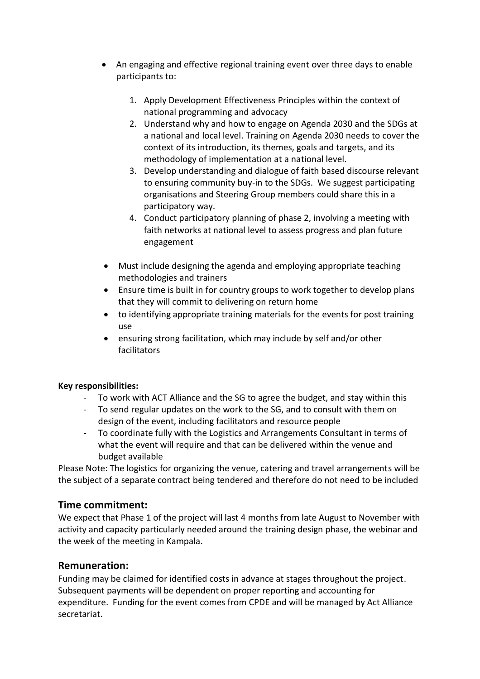- An engaging and effective regional training event over three days to enable participants to:
	- 1. Apply Development Effectiveness Principles within the context of national programming and advocacy
	- 2. Understand why and how to engage on Agenda 2030 and the SDGs at a national and local level. Training on Agenda 2030 needs to cover the context of its introduction, its themes, goals and targets, and its methodology of implementation at a national level.
	- 3. Develop understanding and dialogue of faith based discourse relevant to ensuring community buy-in to the SDGs. We suggest participating organisations and Steering Group members could share this in a participatory way.
	- 4. Conduct participatory planning of phase 2, involving a meeting with faith networks at national level to assess progress and plan future engagement
- Must include designing the agenda and employing appropriate teaching methodologies and trainers
- Ensure time is built in for country groups to work together to develop plans that they will commit to delivering on return home
- to identifying appropriate training materials for the events for post training use
- ensuring strong facilitation, which may include by self and/or other facilitators

### **Key responsibilities:**

- To work with ACT Alliance and the SG to agree the budget, and stay within this
- To send regular updates on the work to the SG, and to consult with them on design of the event, including facilitators and resource people
- To coordinate fully with the Logistics and Arrangements Consultant in terms of what the event will require and that can be delivered within the venue and budget available

Please Note: The logistics for organizing the venue, catering and travel arrangements will be the subject of a separate contract being tendered and therefore do not need to be included

### **Time commitment:**

We expect that Phase 1 of the project will last 4 months from late August to November with activity and capacity particularly needed around the training design phase, the webinar and the week of the meeting in Kampala.

### **Remuneration:**

Funding may be claimed for identified costs in advance at stages throughout the project. Subsequent payments will be dependent on proper reporting and accounting for expenditure. Funding for the event comes from CPDE and will be managed by Act Alliance secretariat.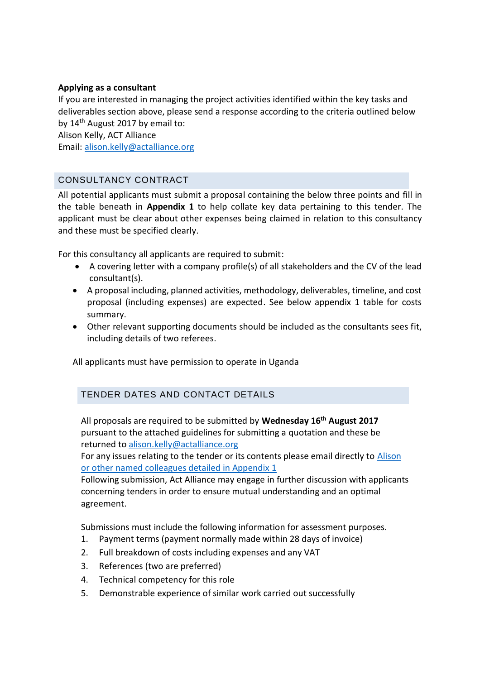#### **Applying as a consultant**

If you are interested in managing the project activities identified within the key tasks and deliverables section above, please send a response according to the criteria outlined below by  $14<sup>th</sup>$  August 2017 by email to:

Alison Kelly, ACT Alliance

Email: [alison.kelly@actalliance.org](mailto:alison.kelly@actalliance.org)

### CONSULTANCY CONTRACT

All potential applicants must submit a proposal containing the below three points and fill in the table beneath in **Appendix 1** to help collate key data pertaining to this tender. The applicant must be clear about other expenses being claimed in relation to this consultancy and these must be specified clearly.

For this consultancy all applicants are required to submit:

- A covering letter with a company profile(s) of all stakeholders and the CV of the lead consultant(s).
- A proposal including, planned activities, methodology, deliverables, timeline, and cost proposal (including expenses) are expected. See below appendix 1 table for costs summary.
- Other relevant supporting documents should be included as the consultants sees fit, including details of two referees.

All applicants must have permission to operate in Uganda

### TENDER DATES AND CONTACT DETAILS

All proposals are required to be submitted by **Wednesday 16th August 2017** pursuant to the attached guidelines for submitting a quotation and these be returned to [alison.kelly@actalliance.org](mailto:alison.kelly@actalliance.org)

For any issues relating to the tender or its contents please email directly to [Alison](mailto:tendering@irworldwide.org) or other named colleagues detailed in Appendix 1

Following submission, Act Alliance may engage in further discussion with applicants concerning tenders in order to ensure mutual understanding and an optimal agreement.

Submissions must include the following information for assessment purposes.

- 1. Payment terms (payment normally made within 28 days of invoice)
- 2. Full breakdown of costs including expenses and any VAT
- 3. References (two are preferred)
- 4. Technical competency for this role
- 5. Demonstrable experience of similar work carried out successfully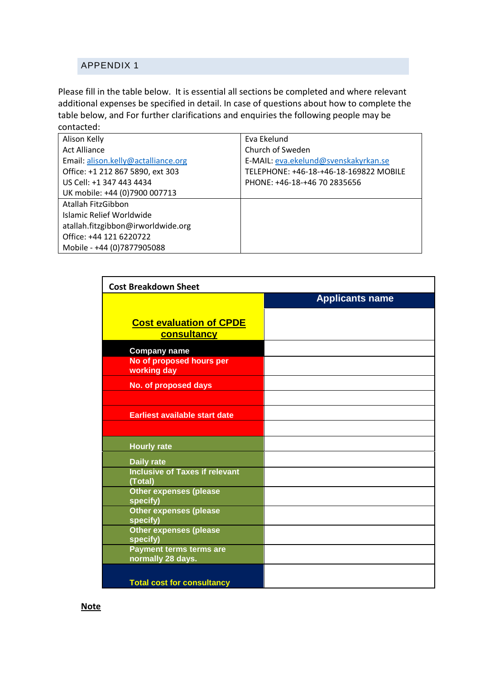### APPENDIX 1

Please fill in the table below. It is essential all sections be completed and where relevant additional expenses be specified in detail. In case of questions about how to complete the table below, and For further clarifications and enquiries the following people may be contacted:

| Alison Kelly                        | Fva Ekelund                            |
|-------------------------------------|----------------------------------------|
| <b>Act Alliance</b>                 | Church of Sweden                       |
| Email: alison.kelly@actalliance.org | E-MAIL: eva.ekelund@svenskakyrkan.se   |
| Office: +1 212 867 5890, ext 303    | TELEPHONE: +46-18-+46-18-169822 MOBILE |
| US Cell: +1 347 443 4434            | PHONE: +46-18-+46 70 2835656           |
| UK mobile: +44 (0)7900 007713       |                                        |
| Atallah FitzGibbon                  |                                        |
| Islamic Relief Worldwide            |                                        |
| atallah.fitzgibbon@irworldwide.org  |                                        |
| Office: +44 121 6220722             |                                        |
| Mobile - +44 (0)7877905088          |                                        |
|                                     |                                        |

| <b>Cost Breakdown Sheet</b>                         |                        |
|-----------------------------------------------------|------------------------|
|                                                     | <b>Applicants name</b> |
|                                                     |                        |
| <b>Cost evaluation of CPDE</b>                      |                        |
| <b>consultancy</b>                                  |                        |
| <b>Company name</b>                                 |                        |
| No of proposed hours per<br>working day             |                        |
| No. of proposed days                                |                        |
|                                                     |                        |
| <b>Earliest available start date</b>                |                        |
|                                                     |                        |
| <b>Hourly rate</b>                                  |                        |
| <b>Daily rate</b>                                   |                        |
| <b>Inclusive of Taxes if relevant</b>               |                        |
| (Total)                                             |                        |
| <b>Other expenses (please</b><br>specify)           |                        |
| <b>Other expenses (please</b><br>specify)           |                        |
| <b>Other expenses (please</b><br>specify)           |                        |
| <b>Payment terms terms are</b><br>normally 28 days. |                        |
|                                                     |                        |
| <b>Total cost for consultancy</b>                   |                        |

**Note**